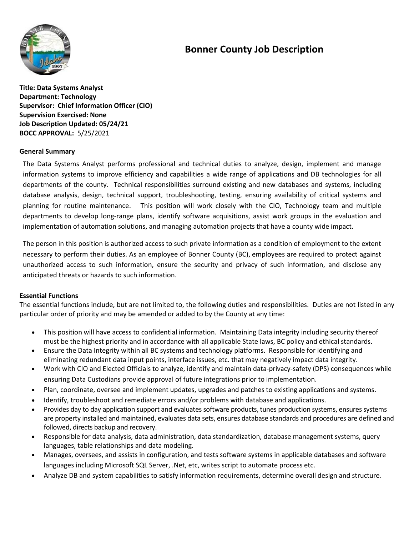# **Bonner County Job Description**



**Title: Data Systems Analyst Department: Technology Supervisor: Chief Information Officer (CIO) Supervision Exercised: None Job Description Updated: 05/24/21 BOCC APPROVAL:** 5/25/2021

## **General Summary**

The Data Systems Analyst performs professional and technical duties to analyze, design, implement and manage information systems to improve efficiency and capabilities a wide range of applications and DB technologies for all departments of the county. Technical responsibilities surround existing and new databases and systems, including database analysis, design, technical support, troubleshooting, testing, ensuring availability of critical systems and planning for routine maintenance. This position will work closely with the CIO, Technology team and multiple departments to develop long-range plans, identify software acquisitions, assist work groups in the evaluation and implementation of automation solutions, and managing automation projects that have a county wide impact.

The person in this position is authorized access to such private information as a condition of employment to the extent necessary to perform their duties. As an employee of Bonner County (BC), employees are required to protect against unauthorized access to such information, ensure the security and privacy of such information, and disclose any anticipated threats or hazards to such information.

#### **Essential Functions**

The essential functions include, but are not limited to, the following duties and responsibilities. Duties are not listed in any particular order of priority and may be amended or added to by the County at any time:

- This position will have access to confidential information. Maintaining Data integrity including security thereof must be the highest priority and in accordance with all applicable State laws, BC policy and ethical standards.
- Ensure the Data Integrity within all BC systems and technology platforms. Responsible for identifying and eliminating redundant data input points, interface issues, etc. that may negatively impact data integrity.
- Work with CIO and Elected Officials to analyze, identify and maintain data-privacy-safety (DPS) consequences while ensuring Data Custodians provide approval of future integrations prior to implementation.
- Plan, coordinate, oversee and implement updates, upgrades and patches to existing applications and systems.
- Identify, troubleshoot and remediate errors and/or problems with database and applications.
- Provides day to day application support and evaluates software products, tunes production systems, ensures systems are property installed and maintained, evaluates data sets, ensures database standards and procedures are defined and followed, directs backup and recovery.
- Responsible for data analysis, data administration, data standardization, database management systems, query languages, table relationships and data modeling.
- Manages, oversees, and assists in configuration, and tests software systems in applicable databases and software languages including Microsoft SQL Server, .Net, etc, writes script to automate process etc.
- Analyze DB and system capabilities to satisfy information requirements, determine overall design and structure.